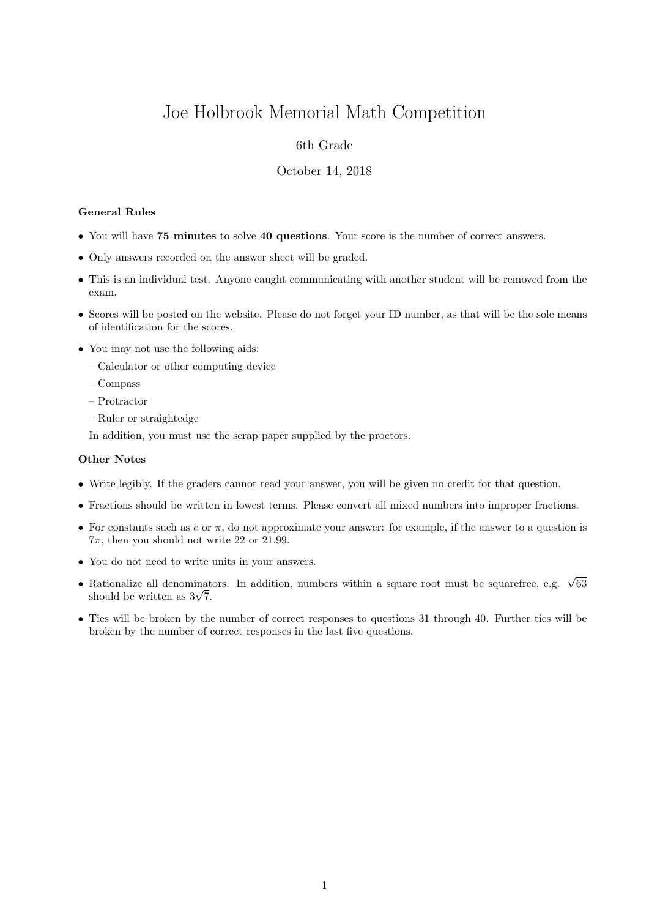# Joe Holbrook Memorial Math Competition

## 6th Grade

### October 14, 2018

#### General Rules

- You will have 75 minutes to solve 40 questions. Your score is the number of correct answers.
- Only answers recorded on the answer sheet will be graded.
- This is an individual test. Anyone caught communicating with another student will be removed from the exam.
- Scores will be posted on the website. Please do not forget your ID number, as that will be the sole means of identification for the scores.
- You may not use the following aids:
	- Calculator or other computing device
	- Compass
	- Protractor
	- Ruler or straightedge

In addition, you must use the scrap paper supplied by the proctors.

#### Other Notes

- Write legibly. If the graders cannot read your answer, you will be given no credit for that question.
- Fractions should be written in lowest terms. Please convert all mixed numbers into improper fractions.
- For constants such as  $e$  or  $\pi$ , do not approximate your answer: for example, if the answer to a question is  $7\pi$ , then you should not write 22 or 21.99.
- You do not need to write units in your answers.
- Rationalize all denominators. In addition, numbers within a square root must be squarefree, e.g.  $\sqrt{63}$  $\kappa$ ationalize all denominat<br>should be written as  $3\sqrt{7}$ .
- Ties will be broken by the number of correct responses to questions 31 through 40. Further ties will be broken by the number of correct responses in the last five questions.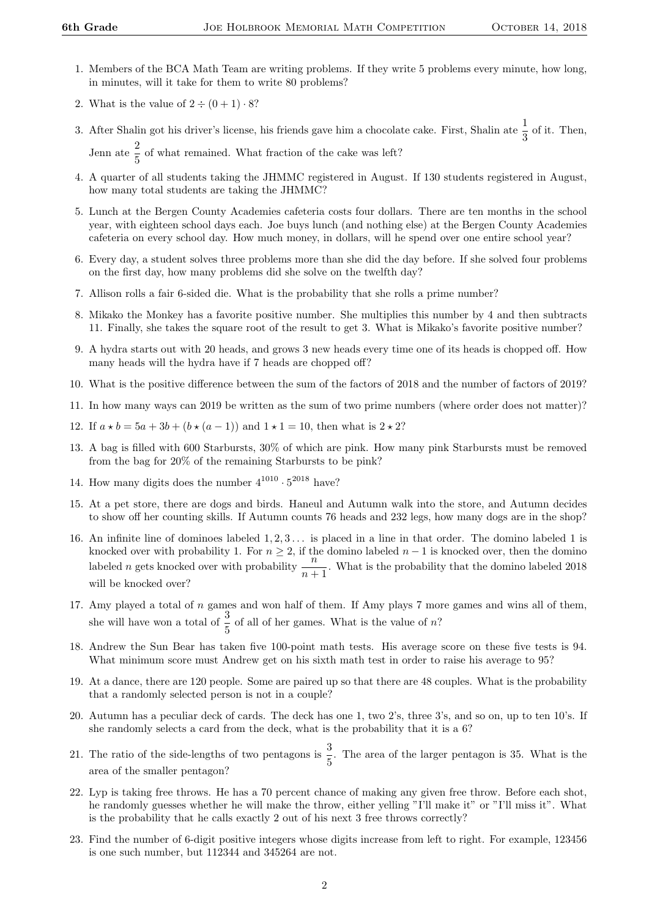- 1. Members of the BCA Math Team are writing problems. If they write 5 problems every minute, how long, in minutes, will it take for them to write 80 problems?
- 2. What is the value of  $2 \div (0 + 1) \cdot 8$ ?
- 3. After Shalin got his driver's license, his friends gave him a chocolate cake. First, Shalin ate  $\frac{1}{3}$  of it. Then, Jenn ate  $\frac{2}{5}$  of what remained. What fraction of the cake was left?
- 4. A quarter of all students taking the JHMMC registered in August. If 130 students registered in August, how many total students are taking the JHMMC?
- 5. Lunch at the Bergen County Academies cafeteria costs four dollars. There are ten months in the school year, with eighteen school days each. Joe buys lunch (and nothing else) at the Bergen County Academies cafeteria on every school day. How much money, in dollars, will he spend over one entire school year?
- 6. Every day, a student solves three problems more than she did the day before. If she solved four problems on the first day, how many problems did she solve on the twelfth day?
- 7. Allison rolls a fair 6-sided die. What is the probability that she rolls a prime number?
- 8. Mikako the Monkey has a favorite positive number. She multiplies this number by 4 and then subtracts 11. Finally, she takes the square root of the result to get 3. What is Mikako's favorite positive number?
- 9. A hydra starts out with 20 heads, and grows 3 new heads every time one of its heads is chopped off. How many heads will the hydra have if 7 heads are chopped off?
- 10. What is the positive difference between the sum of the factors of 2018 and the number of factors of 2019?
- 11. In how many ways can 2019 be written as the sum of two prime numbers (where order does not matter)?
- 12. If  $a * b = 5a + 3b + (b * (a 1))$  and  $1 * 1 = 10$ , then what is  $2 * 2$ ?
- 13. A bag is filled with 600 Starbursts, 30% of which are pink. How many pink Starbursts must be removed from the bag for 20% of the remaining Starbursts to be pink?
- 14. How many digits does the number  $4^{1010} \cdot 5^{2018}$  have?
- 15. At a pet store, there are dogs and birds. Haneul and Autumn walk into the store, and Autumn decides to show off her counting skills. If Autumn counts 76 heads and 232 legs, how many dogs are in the shop?
- 16. An infinite line of dominoes labeled  $1, 2, 3, \ldots$  is placed in a line in that order. The domino labeled 1 is knocked over with probability 1. For  $n \ge 2$ , if the domino labeled  $n-1$  is knocked over, then the domino labeled 2018<br>labeled n gets knocked over with probability  $\frac{n}{n+1}$ . What is the probability that the domino labe will be knocked over?
- 17. Amy played a total of  $n$  games and won half of them. If Amy plays  $7$  more games and wins all of them, she will have won a total of  $\frac{3}{5}$  of all of her games. What is the value of n?
- 18. Andrew the Sun Bear has taken five 100-point math tests. His average score on these five tests is 94. What minimum score must Andrew get on his sixth math test in order to raise his average to 95?
- 19. At a dance, there are 120 people. Some are paired up so that there are 48 couples. What is the probability that a randomly selected person is not in a couple?
- 20. Autumn has a peculiar deck of cards. The deck has one 1, two 2's, three 3's, and so on, up to ten 10's. If she randomly selects a card from the deck, what is the probability that it is a 6?
- 21. The ratio of the side-lengths of two pentagons is  $\frac{3}{5}$ . The area of the larger pentagon is 35. What is the area of the smaller pentagon?
- 22. Lyp is taking free throws. He has a 70 percent chance of making any given free throw. Before each shot, he randomly guesses whether he will make the throw, either yelling "I'll make it" or "I'll miss it". What is the probability that he calls exactly 2 out of his next 3 free throws correctly?
- 23. Find the number of 6-digit positive integers whose digits increase from left to right. For example, 123456 is one such number, but 112344 and 345264 are not.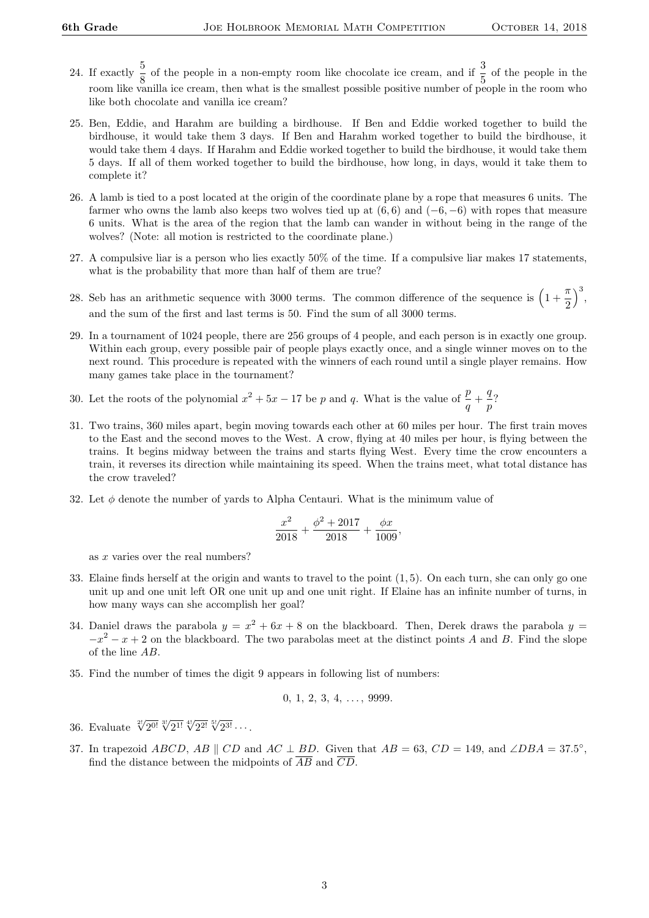- 24. If exactly  $\frac{5}{8}$  of the people in a non-empty room like chocolate ice cream, and if  $\frac{3}{5}$  of the people in the room like vanilla ice cream, then what is the smallest possible positive number of people in the room who like both chocolate and vanilla ice cream?
- 25. Ben, Eddie, and Harahm are building a birdhouse. If Ben and Eddie worked together to build the birdhouse, it would take them 3 days. If Ben and Harahm worked together to build the birdhouse, it would take them 4 days. If Harahm and Eddie worked together to build the birdhouse, it would take them 5 days. If all of them worked together to build the birdhouse, how long, in days, would it take them to complete it?
- 26. A lamb is tied to a post located at the origin of the coordinate plane by a rope that measures 6 units. The farmer who owns the lamb also keeps two wolves tied up at  $(6, 6)$  and  $(-6, -6)$  with ropes that measure 6 units. What is the area of the region that the lamb can wander in without being in the range of the wolves? (Note: all motion is restricted to the coordinate plane.)
- 27. A compulsive liar is a person who lies exactly 50% of the time. If a compulsive liar makes 17 statements, what is the probability that more than half of them are true?
- 28. Seb has an arithmetic sequence with 3000 terms. The common difference of the sequence is  $\left(1+\frac{\pi}{2}\right)$ 2  $\Big)^3$ and the sum of the first and last terms is 50. Find the sum of all 3000 terms.
- 29. In a tournament of 1024 people, there are 256 groups of 4 people, and each person is in exactly one group. Within each group, every possible pair of people plays exactly once, and a single winner moves on to the next round. This procedure is repeated with the winners of each round until a single player remains. How many games take place in the tournament?
- 30. Let the roots of the polynomial  $x^2 + 5x 17$  be p and q. What is the value of  $\frac{p}{q} + \frac{q}{p}$  $\frac{4}{p}$ ?
- 31. Two trains, 360 miles apart, begin moving towards each other at 60 miles per hour. The first train moves to the East and the second moves to the West. A crow, flying at 40 miles per hour, is flying between the trains. It begins midway between the trains and starts flying West. Every time the crow encounters a train, it reverses its direction while maintaining its speed. When the trains meet, what total distance has the crow traveled?
- 32. Let  $\phi$  denote the number of yards to Alpha Centauri. What is the minimum value of

$$
\frac{x^2}{2018} + \frac{\phi^2 + 2017}{2018} + \frac{\phi x}{1009},
$$

as x varies over the real numbers?

- 33. Elaine finds herself at the origin and wants to travel to the point (1, 5). On each turn, she can only go one unit up and one unit left OR one unit up and one unit right. If Elaine has an infinite number of turns, in how many ways can she accomplish her goal?
- 34. Daniel draws the parabola  $y = x^2 + 6x + 8$  on the blackboard. Then, Derek draws the parabola  $y =$  $-x^2 - x + 2$  on the blackboard. The two parabolas meet at the distinct points A and B. Find the slope of the line AB.
- 35. Find the number of times the digit 9 appears in following list of numbers:

$$
0, 1, 2, 3, 4, \ldots, 9999.
$$

- 36. Evaluate  $\sqrt[2]{2^{0!}} \sqrt[3]{2^{1!}} \sqrt[4]{2^{2!}} \sqrt[5]{2^{3!}} \cdots$ .
- 37. In trapezoid ABCD, AB  $\parallel$  CD and AC  $\perp$  BD. Given that  $AB = 63$ , CD = 149, and ∠DBA = 37.5°, find the distance between the midpoints of  $\overline{AB}$  and  $\overline{CD}$ .